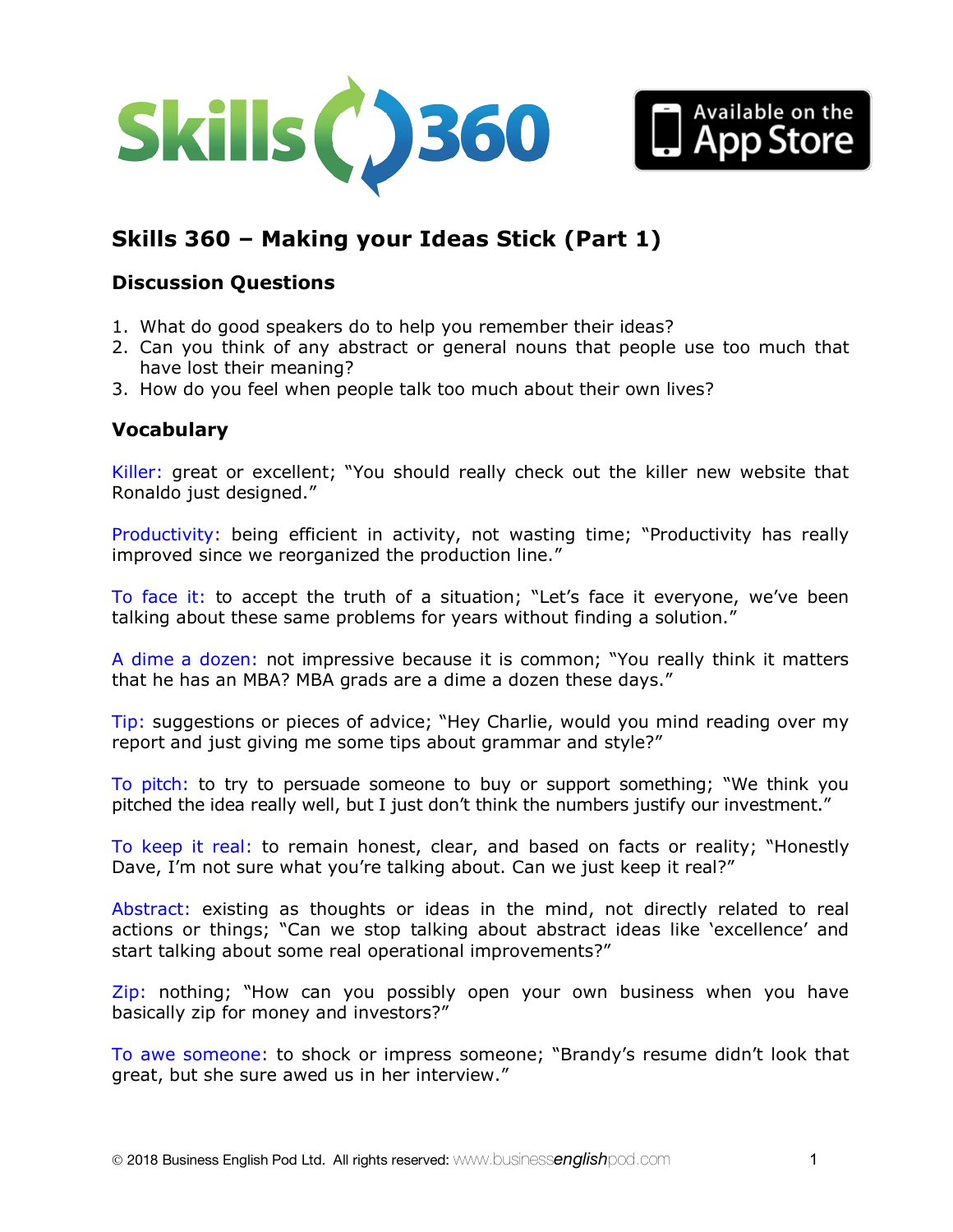



# **Skills 360 – Making your Ideas Stick (Part 1)**

## **Discussion Questions**

- 1. What do good speakers do to help you remember their ideas?
- 2. Can you think of any abstract or general nouns that people use too much that have lost their meaning?
- 3. How do you feel when people talk too much about their own lives?

# **Vocabulary**

Killer: great or excellent; "You should really check out the killer new website that Ronaldo just designed."

Productivity: being efficient in activity, not wasting time; "Productivity has really improved since we reorganized the production line."

To face it: to accept the truth of a situation; "Let's face it everyone, we've been talking about these same problems for years without finding a solution."

A dime a dozen: not impressive because it is common; "You really think it matters that he has an MBA? MBA grads are a dime a dozen these days."

Tip: suggestions or pieces of advice; "Hey Charlie, would you mind reading over my report and just giving me some tips about grammar and style?"

To pitch: to try to persuade someone to buy or support something; "We think you pitched the idea really well, but I just don't think the numbers justify our investment."

To keep it real: to remain honest, clear, and based on facts or reality; "Honestly Dave, I'm not sure what you're talking about. Can we just keep it real?"

Abstract: existing as thoughts or ideas in the mind, not directly related to real actions or things; "Can we stop talking about abstract ideas like 'excellence' and start talking about some real operational improvements?"

Zip: nothing; "How can you possibly open your own business when you have basically zip for money and investors?"

To awe someone: to shock or impress someone; "Brandy's resume didn't look that great, but she sure awed us in her interview."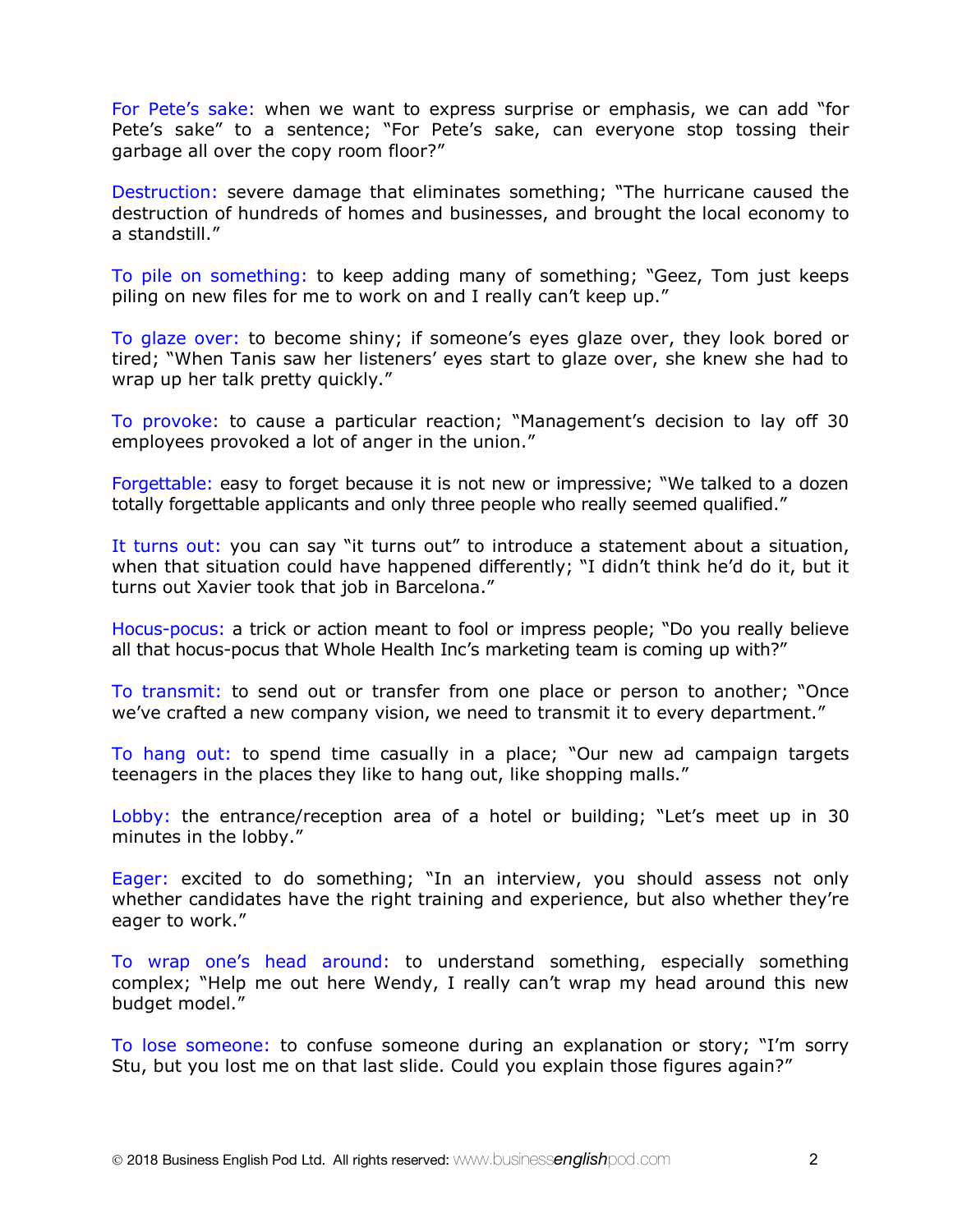For Pete's sake: when we want to express surprise or emphasis, we can add "for Pete's sake" to a sentence; "For Pete's sake, can everyone stop tossing their garbage all over the copy room floor?"

Destruction: severe damage that eliminates something; "The hurricane caused the destruction of hundreds of homes and businesses, and brought the local economy to a standstill."

To pile on something: to keep adding many of something; "Geez, Tom just keeps piling on new files for me to work on and I really can't keep up."

To glaze over: to become shiny; if someone's eyes glaze over, they look bored or tired; "When Tanis saw her listeners' eyes start to glaze over, she knew she had to wrap up her talk pretty quickly."

To provoke: to cause a particular reaction; "Management's decision to lay off 30 employees provoked a lot of anger in the union."

Forgettable: easy to forget because it is not new or impressive; "We talked to a dozen totally forgettable applicants and only three people who really seemed qualified."

It turns out: you can say "it turns out" to introduce a statement about a situation, when that situation could have happened differently; "I didn't think he'd do it, but it turns out Xavier took that job in Barcelona."

Hocus-pocus: a trick or action meant to fool or impress people; "Do you really believe all that hocus-pocus that Whole Health Inc's marketing team is coming up with?"

To transmit: to send out or transfer from one place or person to another; "Once we've crafted a new company vision, we need to transmit it to every department."

To hang out: to spend time casually in a place; "Our new ad campaign targets teenagers in the places they like to hang out, like shopping malls."

Lobby: the entrance/reception area of a hotel or building; "Let's meet up in 30 minutes in the lobby."

Eager: excited to do something; "In an interview, you should assess not only whether candidates have the right training and experience, but also whether they're eager to work."

To wrap one's head around: to understand something, especially something complex; "Help me out here Wendy, I really can't wrap my head around this new budget model."

To lose someone: to confuse someone during an explanation or story; "I'm sorry Stu, but you lost me on that last slide. Could you explain those figures again?"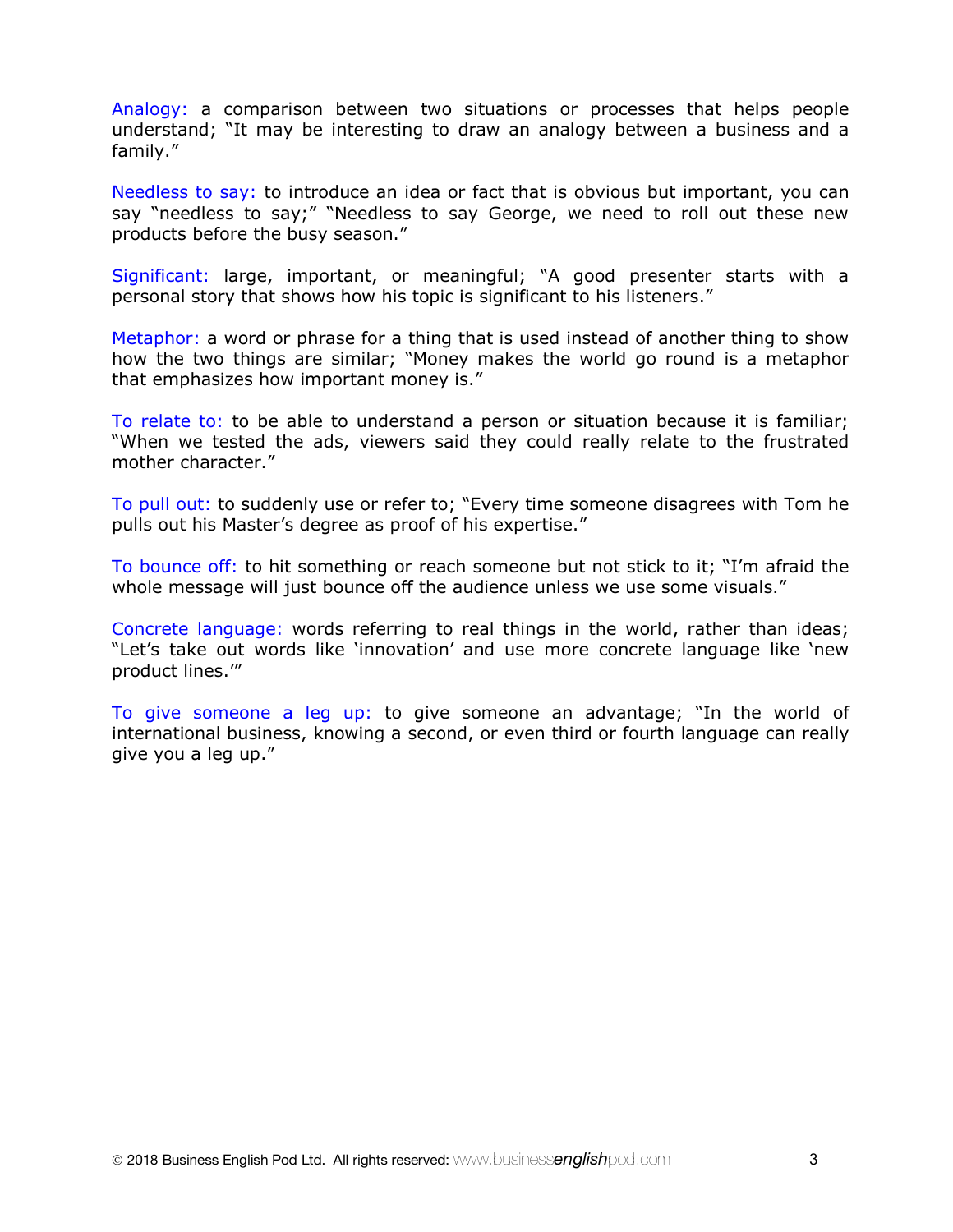Analogy: a comparison between two situations or processes that helps people understand; "It may be interesting to draw an analogy between a business and a family."

Needless to say: to introduce an idea or fact that is obvious but important, you can say "needless to say;" "Needless to say George, we need to roll out these new products before the busy season."

Significant: large, important, or meaningful; "A good presenter starts with a personal story that shows how his topic is significant to his listeners."

Metaphor: a word or phrase for a thing that is used instead of another thing to show how the two things are similar; "Money makes the world go round is a metaphor that emphasizes how important money is."

To relate to: to be able to understand a person or situation because it is familiar; "When we tested the ads, viewers said they could really relate to the frustrated mother character."

To pull out: to suddenly use or refer to; "Every time someone disagrees with Tom he pulls out his Master's degree as proof of his expertise."

To bounce off: to hit something or reach someone but not stick to it; "I'm afraid the whole message will just bounce off the audience unless we use some visuals."

Concrete language: words referring to real things in the world, rather than ideas; "Let's take out words like 'innovation' and use more concrete language like 'new product lines.'"

To give someone a leg up: to give someone an advantage; "In the world of international business, knowing a second, or even third or fourth language can really give you a leg up."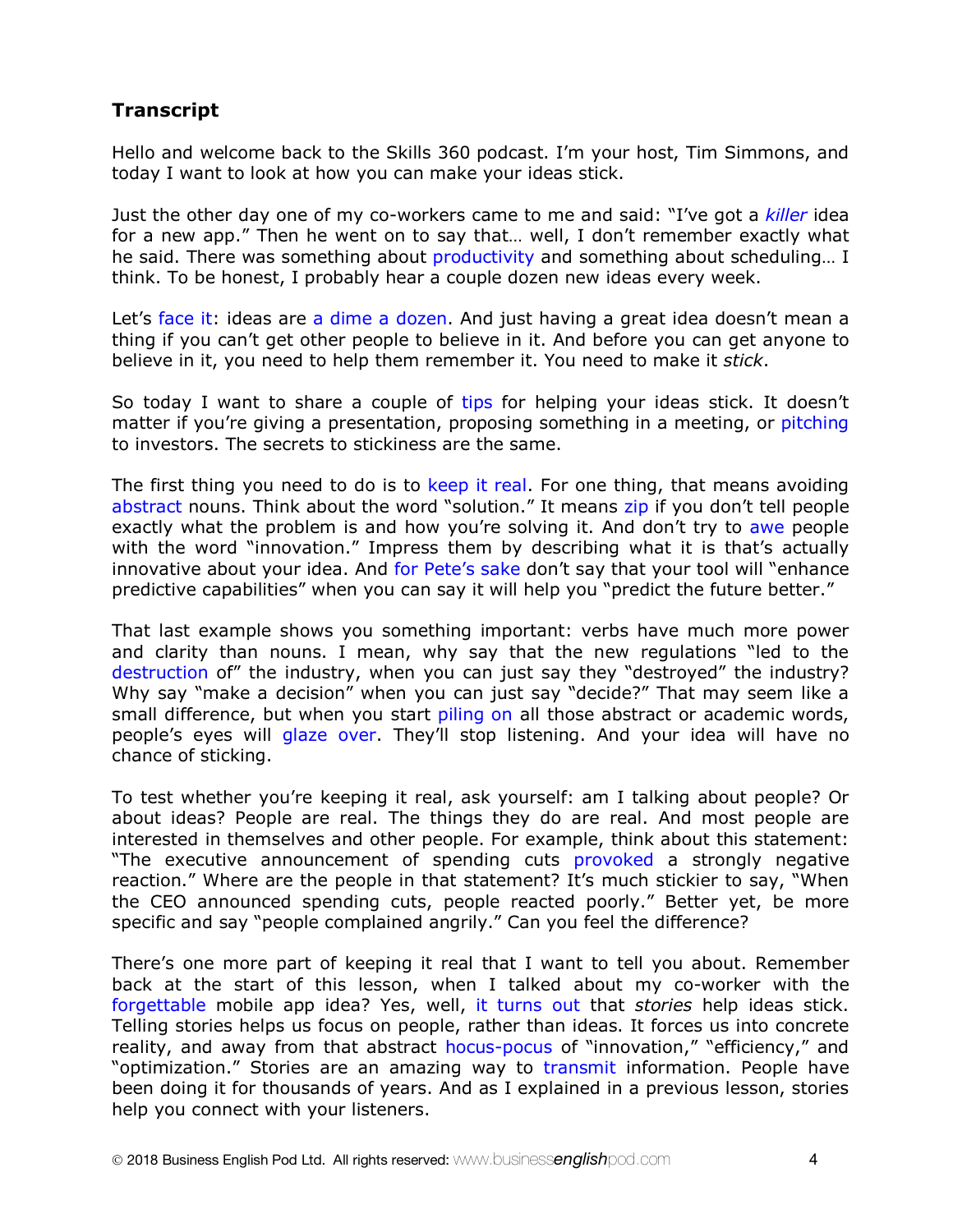# **Transcript**

Hello and welcome back to the Skills 360 podcast. I'm your host, Tim Simmons, and today I want to look at how you can make your ideas stick.

Just the other day one of my co-workers came to me and said: "I've got a *killer* idea for a new app." Then he went on to say that… well, I don't remember exactly what he said. There was something about productivity and something about scheduling... I think. To be honest, I probably hear a couple dozen new ideas every week.

Let's face it: ideas are a dime a dozen. And just having a great idea doesn't mean a thing if you can't get other people to believe in it. And before you can get anyone to believe in it, you need to help them remember it. You need to make it *stick*.

So today I want to share a couple of tips for helping your ideas stick. It doesn't matter if you're giving a presentation, proposing something in a meeting, or pitching to investors. The secrets to stickiness are the same.

The first thing you need to do is to keep it real. For one thing, that means avoiding abstract nouns. Think about the word "solution." It means zip if you don't tell people exactly what the problem is and how you're solving it. And don't try to awe people with the word "innovation." Impress them by describing what it is that's actually innovative about your idea. And for Pete's sake don't say that your tool will "enhance predictive capabilities" when you can say it will help you "predict the future better."

That last example shows you something important: verbs have much more power and clarity than nouns. I mean, why say that the new regulations "led to the destruction of" the industry, when you can just say they "destroyed" the industry? Why say "make a decision" when you can just say "decide?" That may seem like a small difference, but when you start piling on all those abstract or academic words, people's eyes will glaze over. They'll stop listening. And your idea will have no chance of sticking.

To test whether you're keeping it real, ask yourself: am I talking about people? Or about ideas? People are real. The things they do are real. And most people are interested in themselves and other people. For example, think about this statement: "The executive announcement of spending cuts provoked a strongly negative reaction." Where are the people in that statement? It's much stickier to say, "When the CEO announced spending cuts, people reacted poorly." Better yet, be more specific and say "people complained angrily." Can you feel the difference?

There's one more part of keeping it real that I want to tell you about. Remember back at the start of this lesson, when I talked about my co-worker with the forgettable mobile app idea? Yes, well, it turns out that *stories* help ideas stick. Telling stories helps us focus on people, rather than ideas. It forces us into concrete reality, and away from that abstract hocus-pocus of "innovation," "efficiency," and "optimization." Stories are an amazing way to transmit information. People have been doing it for thousands of years. And as I explained in a previous lesson, stories help you connect with your listeners.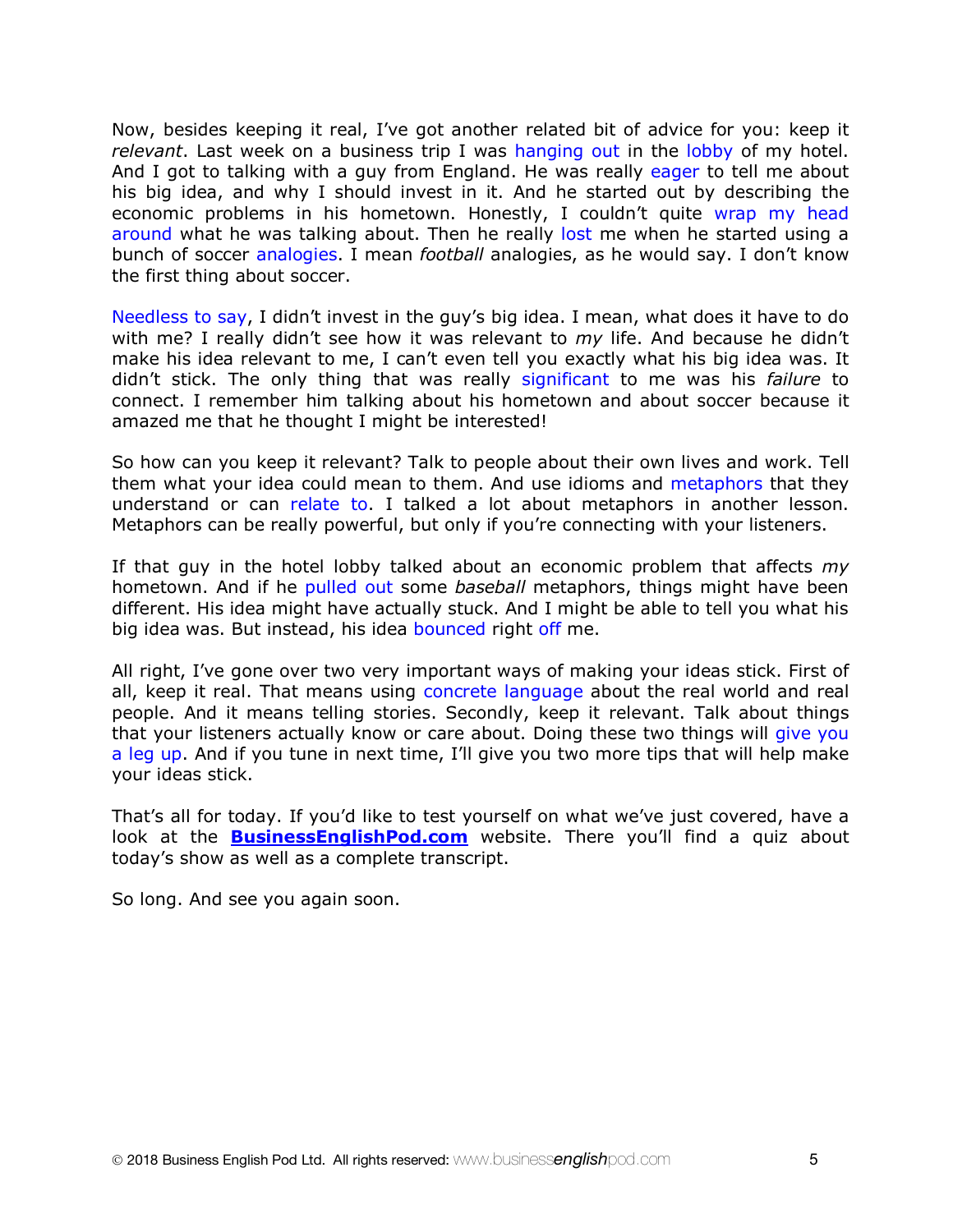Now, besides keeping it real, I've got another related bit of advice for you: keep it *relevant*. Last week on a business trip I was hanging out in the lobby of my hotel. And I got to talking with a guy from England. He was really eager to tell me about his big idea, and why I should invest in it. And he started out by describing the economic problems in his hometown. Honestly, I couldn't quite wrap my head around what he was talking about. Then he really lost me when he started using a bunch of soccer analogies. I mean *football* analogies, as he would say. I don't know the first thing about soccer.

Needless to say, I didn't invest in the guy's big idea. I mean, what does it have to do with me? I really didn't see how it was relevant to *my* life. And because he didn't make his idea relevant to me, I can't even tell you exactly what his big idea was. It didn't stick. The only thing that was really significant to me was his *failure* to connect. I remember him talking about his hometown and about soccer because it amazed me that he thought I might be interested!

So how can you keep it relevant? Talk to people about their own lives and work. Tell them what your idea could mean to them. And use idioms and metaphors that they understand or can relate to. I talked a lot about metaphors in another lesson. Metaphors can be really powerful, but only if you're connecting with your listeners.

If that guy in the hotel lobby talked about an economic problem that affects *my*  hometown. And if he pulled out some *baseball* metaphors, things might have been different. His idea might have actually stuck. And I might be able to tell you what his big idea was. But instead, his idea bounced right off me.

All right, I've gone over two very important ways of making your ideas stick. First of all, keep it real. That means using concrete language about the real world and real people. And it means telling stories. Secondly, keep it relevant. Talk about things that your listeners actually know or care about. Doing these two things will give you a leg up. And if you tune in next time, I'll give you two more tips that will help make your ideas stick.

That's all for today. If you'd like to test yourself on what we've just covered, have a look at the **BusinessEnglishPod.com** website. There you'll find a quiz about today's show as well as a complete transcript.

So long. And see you again soon.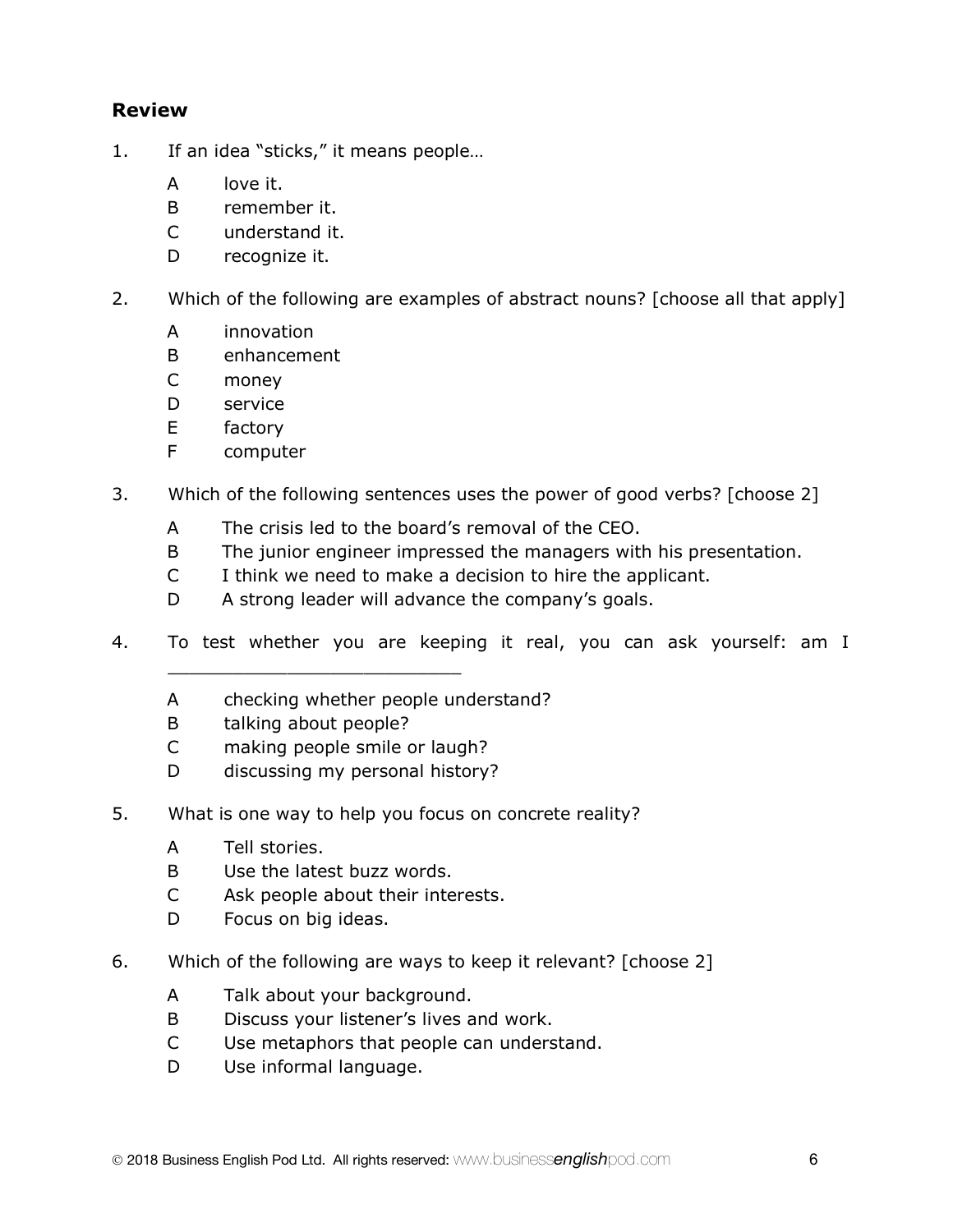## **Review**

- 1. If an idea "sticks," it means people…
	- A love it.
	- B remember it.
	- C understand it.
	- D recognize it.
- 2. Which of the following are examples of abstract nouns? [choose all that apply]
	- A innovation
	- B enhancement
	- C money
	- D service
	- E factory
	- F computer
- 3. Which of the following sentences uses the power of good verbs? [choose 2]
	- A The crisis led to the board's removal of the CEO.
	- B The junior engineer impressed the managers with his presentation.
	- C I think we need to make a decision to hire the applicant.
	- D A strong leader will advance the company's goals.
- 4. To test whether you are keeping it real, you can ask yourself: am I
	- A checking whether people understand?
	- B talking about people?
	- C making people smile or laugh?

\_\_\_\_\_\_\_\_\_\_\_\_\_\_\_\_\_\_\_\_\_\_\_\_\_\_\_

- D discussing my personal history?
- 5. What is one way to help you focus on concrete reality?
	- A Tell stories.
	- B Use the latest buzz words.
	- C Ask people about their interests.
	- D Focus on big ideas.
- 6. Which of the following are ways to keep it relevant? [choose 2]
	- A Talk about your background.
	- B Discuss your listener's lives and work.
	- C Use metaphors that people can understand.
	- D Use informal language.